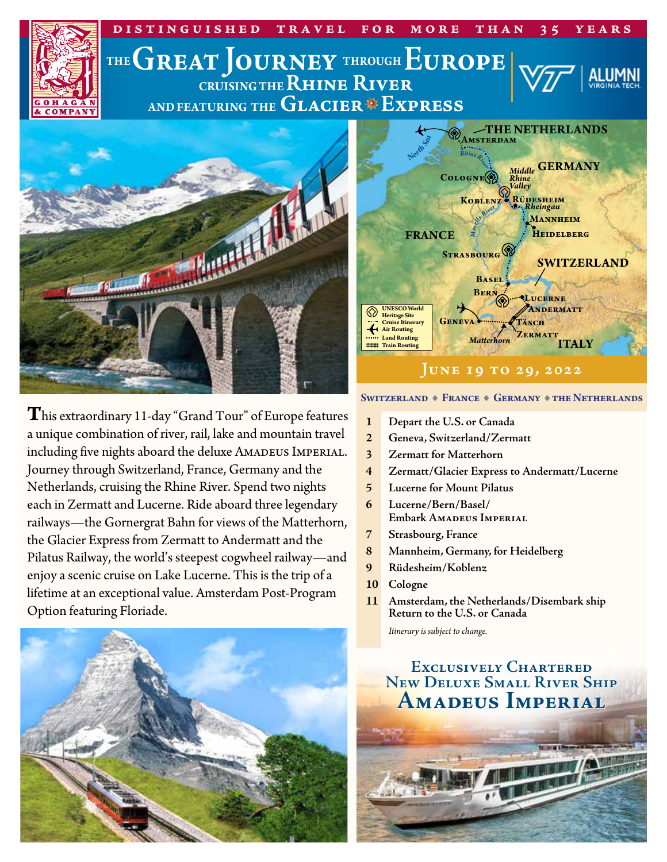

**T**his extraordinary 11-day "Grand Tour" of Europe features a unique combination of river, rail, lake and mountain travel including five nights aboard the deluxe AMADEUS IMPERIAL. Journey through Switzerland, France, Germany and the Netherlands, cruising the Rhine River. Spend two nights each in Zermatt and Lucerne. Ride aboard three legendary railways—the Gornergrat Bahn for views of the Matterhorn, the Glacier Express from Zermatt to Andermatt and the Pilatus Railway, the world's steepest cogwheel railway—and enjoy a scenic cruise on Lake Lucerne. This is the trip of a lifetime at an exceptional value. Amsterdam Post-Program Option featuring Floriade.



#### SWITZERLAND  $\blacklozenge$  France  $\blacklozenge$  Germany  $\blacklozenge$  the Netherlands

- **1 Depart the U.S. or Canada**
- **2 Geneva, Switzerland/Zermatt**
- **3 Zermatt for Matterhorn**
- **4 Zermatt/Glacier Express to Andermatt/Lucerne**
- **5 Lucerne for Mount Pilatus**
- **6 Lucerne/Bern/Basel/ Embark Amadeus Imperial**
- **7 Strasbourg, France**
- **8 Mannheim, Germany, for Heidelberg**
- **9 Rüdesheim/Koblenz**
- **10 Cologne**
- **11 Amsterdam, the Netherlands/Disembark ship Return to the U.S. or Canada**

*Itinerary is subject to change.*

# **Exclusively Chartered New Deluxe Small River Ship Amadeus Imperial**